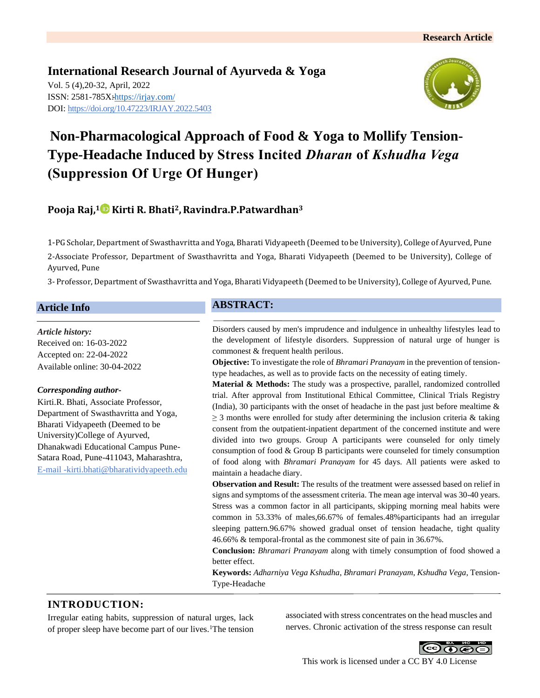**International Research Journal of Ayurveda & Yoga** Vol. 5 (4),20-32, April, 2022 ISSN: 2581-785X:https://irjay.com/ DOI: https://doi.org/10.47223/IRJAY.2022.5403



# **Non-Pharmacological Approach of Food & Yoga to Mollify Tension-Type-Headache Induced by Stress Incited** *Dharan* **of** *Kshudha Vega* **(Suppression Of Urge Of Hunger)**

# **Pooja Raj,<sup>1</sup> Kirti R. Bhati2,Ravindra.P.Patwardhan<sup>3</sup>**

1-PG Scholar, Department of Swasthavritta and Yoga, Bharati Vidyapeeth (Deemed to be University), College of Ayurved, Pune

2-Associate Professor, Department of Swasthavritta and Yoga, Bharati Vidyapeeth (Deemed to be University), College of Ayurved, Pune

3- Professor, Department of Swasthavritta and Yoga, Bharati Vidyapeeth (Deemed to be University), College of Ayurved, Pune.

### **Article Info**

#### *Article history:*

Received on: 16-03-2022 Accepted on: 22-04-2022 Available online: 30-04-2022

#### *Corresponding author-*

Kirti.R. Bhati, Associate Professor, Department of Swasthavritta and Yoga, Bharati Vidyapeeth (Deemed to be University)College of Ayurved, Dhanakwadi Educational Campus Pune-Satara Road, Pune-411043, Maharashtra, E-mail -kirti.bhati@bharatividyapeeth.edu

### **ABSTRACT:**

Disorders caused by men's imprudence and indulgence in unhealthy lifestyles lead to the development of lifestyle disorders. Suppression of natural urge of hunger is commonest & frequent health perilous.

**Objective:** To investigate the role of *Bhramari Pranayam* in the prevention of tensiontype headaches, as well as to provide facts on the necessity of eating timely.

**Material & Methods:** The study was a prospective, parallel, randomized controlled trial. After approval from Institutional Ethical Committee, Clinical Trials Registry (India), 30 participants with the onset of headache in the past just before mealtime  $\&$  $\geq$  3 months were enrolled for study after determining the inclusion criteria & taking consent from the outpatient-inpatient department of the concerned institute and were divided into two groups. Group A participants were counseled for only timely consumption of food & Group B participants were counseled for timely consumption of food along with *Bhramari Pranayam* for 45 days. All patients were asked to maintain a headache diary.

**Observation and Result:** The results of the treatment were assessed based on relief in signs and symptoms of the assessment criteria. The mean age interval was 30-40 years. Stress was a common factor in all participants, skipping morning meal habits were common in 53.33% of males,66.67% of females.48%participants had an irregular sleeping pattern.96.67% showed gradual onset of tension headache, tight quality 46.66% & temporal-frontal as the commonest site of pain in 36.67%.

**Conclusion:** *Bhramari Pranayam* along with timely consumption of food showed a better effect.

**Keywords:** *Adharniya Vega Kshudha*, *Bhramari Pranayam*, *Kshudha Vega*, Tension-Type-Headache

## **INTRODUCTION:**

Irregular eating habits, suppression of natural urges, lack of proper sleep have become part of our lives.<sup>1</sup>The tension associated with stress concentrates on the head muscles and nerves. Chronic activation of the stress response can result



This work is licensed under a CC BY 4.0 License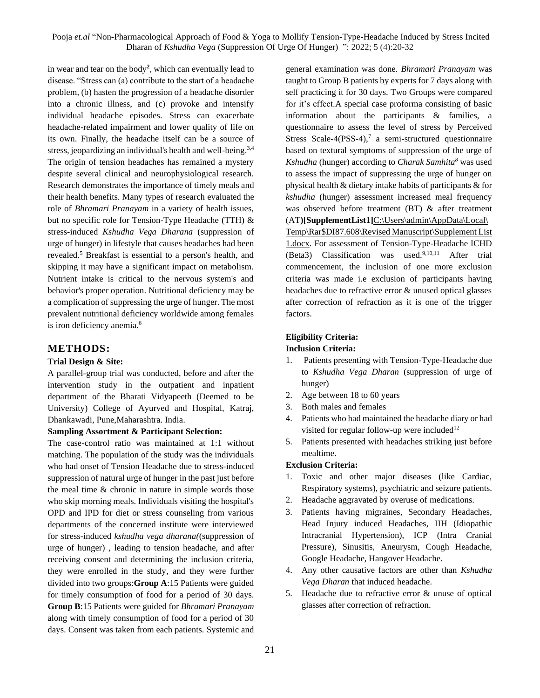in wear and tear on the body**<sup>2</sup>** , which can eventually lead to disease. "Stress can (a) contribute to the start of a headache problem, (b) hasten the progression of a headache disorder into a chronic illness, and (c) provoke and intensify individual headache episodes. Stress can exacerbate headache-related impairment and lower quality of life on its own. Finally, the headache itself can be a source of stress, jeopardizing an individual's health and well-being.<sup>3,4</sup> The origin of tension headaches has remained a mystery despite several clinical and neurophysiological research. Research demonstrates the importance of timely meals and their health benefits. Many types of research evaluated the role of *Bhramari Pranayam* in a variety of health issues, but no specific role for Tension-Type Headache (TTH) & stress-induced *Kshudha Vega Dharana* (suppression of urge of hunger) in lifestyle that causes headaches had been revealed.<sup>5</sup> Breakfast is essential to a person's health, and skipping it may have a significant impact on metabolism. Nutrient intake is critical to the nervous system's and behavior's proper operation. Nutritional deficiency may be a complication of suppressing the urge of hunger. The most prevalent nutritional deficiency worldwide among females is iron deficiency anemia.<sup>6</sup>

#### **METHODS:**

#### **Trial Design & Site:**

A parallel-group trial was conducted, before and after the intervention study in the outpatient and inpatient department of the Bharati Vidyapeeth (Deemed to be University) College of Ayurved and Hospital, Katraj, Dhankawadi, Pune,Maharashtra. India.

#### **Sampling Assortment & Participant Selection:**

The case-control ratio was maintained at 1:1 without matching. The population of the study was the individuals who had onset of Tension Headache due to stress-induced suppression of natural urge of hunger in the past just before the meal time & chronic in nature in simple words those who skip morning meals. Individuals visiting the hospital's OPD and IPD for diet or stress counseling from various departments of the concerned institute were interviewed for stress-induced *kshudha vega dharana(*(suppression of urge of hunger) , leading to tension headache, and after receiving consent and determining the inclusion criteria, they were enrolled in the study, and they were further divided into two groups:**Group A**:15 Patients were guided for timely consumption of food for a period of 30 days. **Group B**:15 Patients were guided for *Bhramari Pranayam* along with timely consumption of food for a period of 30 days. Consent was taken from each patients. Systemic and

general examination was done. *Bhramari Pranayam* was taught to Group B patients by experts for 7 days along with self practicing it for 30 days. Two Groups were compared for it's effect.A special case proforma consisting of basic information about the participants & families, a questionnaire to assess the level of stress by Perceived Stress Scale-4(PSS-4),<sup>7</sup> a semi-structured questionnaire based on textural symptoms of suppression of the urge of *Kshudha* (hunger) according to *Charak Samhita<sup>8</sup>* was used to assess the impact of suppressing the urge of hunger on physical health & dietary intake habits of participants & for *kshudha* (hunger) assessment increased meal frequency was observed before treatment (BT) & after treatment (AT**)[SupplementList1]**[C:\Users\admin\AppData\Local\](file:///C:/Users/admin/AppData/Local/Temp/Rar$DI87.608/Revised%20Manuscript/Supplement%20List%201.docx)

[Temp\Rar\\$DI87.608\Revised Manuscript\Supplement List](file:///C:/Users/admin/AppData/Local/Temp/Rar$DI87.608/Revised%20Manuscript/Supplement%20List%201.docx)  [1.docx.](file:///C:/Users/admin/AppData/Local/Temp/Rar$DI87.608/Revised%20Manuscript/Supplement%20List%201.docx) For assessment of Tension-Type-Headache ICHD (Beta3) Classification was used.<sup>9,10,11</sup> After trial commencement, the inclusion of one more exclusion criteria was made i.e exclusion of participants having headaches due to refractive error & unused optical glasses after correction of refraction as it is one of the trigger factors.

# **Eligibility Criteria:**

#### **Inclusion Criteria:**

- 1. Patients presenting with Tension-Type-Headache due to *Kshudha Vega Dharan* (suppression of urge of hunger)
- 2. Age between 18 to 60 years
- 3. Both males and females
- 4. Patients who had maintained the headache diary or had visited for regular follow-up were included<sup>12</sup>
- 5. Patients presented with headaches striking just before mealtime.

#### **Exclusion Criteria:**

- 1. Toxic and other major diseases (like Cardiac, Respiratory systems), psychiatric and seizure patients.
- 2. Headache aggravated by overuse of medications.
- 3. Patients having migraines, Secondary Headaches, Head Injury induced Headaches, IIH (Idiopathic Intracranial Hypertension), ICP (Intra Cranial Pressure), Sinusitis, Aneurysm, Cough Headache, Google Headache, Hangover Headache.
- 4. Any other causative factors are other than *Kshudha Vega Dharan* that induced headache.
- 5. Headache due to refractive error & unuse of optical glasses after correction of refraction.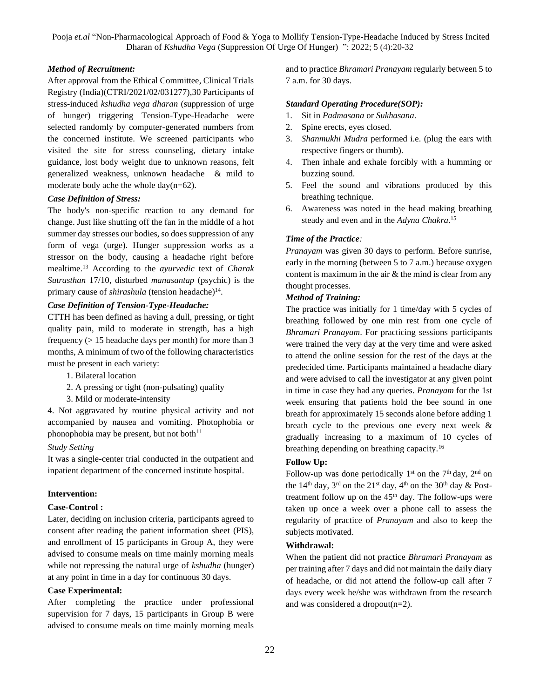#### *Method of Recruitment:*

After approval from the Ethical Committee, Clinical Trials Registry (India)(CTRI/2021/02/031277),30 Participants of stress-induced *kshudha vega dharan* (suppression of urge of hunger) triggering Tension-Type-Headache were selected randomly by computer-generated numbers from the concerned institute. We screened participants who visited the site for stress counseling, dietary intake guidance, lost body weight due to unknown reasons, felt generalized weakness, unknown headache & mild to moderate body ache the whole day(n=62).

#### *Case Definition of Stress:*

The body's non-specific reaction to any demand for change. Just like shutting off the fan in the middle of a hot summer day stresses our bodies, so does suppression of any form of vega (urge). Hunger suppression works as a stressor on the body, causing a headache right before mealtime.<sup>13</sup> According to the *ayurvedic* text of *Charak Sutrasthan* 17/10, disturbed *manasantap* (psychic) is the primary cause of *shirashula* (tension headache)<sup>14</sup>.

#### *Case Definition of Tension-Type-Headache:*

CTTH has been defined as having a dull, pressing, or tight quality pain, mild to moderate in strength, has a high frequency (> 15 headache days per month) for more than 3 months, A minimum of two of the following characteristics must be present in each variety:

- 1. Bilateral location
- 2. A pressing or tight (non-pulsating) quality
- 3. Mild or moderate-intensity

4. Not aggravated by routine physical activity and not accompanied by nausea and vomiting. Photophobia or phonophobia may be present, but not both $11$ 

#### *Study Setting*

It was a single-center trial conducted in the outpatient and inpatient department of the concerned institute hospital.

#### **Intervention:**

#### **Case-Control :**

Later, deciding on inclusion criteria, participants agreed to consent after reading the patient information sheet (PIS), and enrollment of 15 participants in Group A, they were advised to consume meals on time mainly morning meals while not repressing the natural urge of *kshudha* (hunger) at any point in time in a day for continuous 30 days.

#### **Case Experimental:**

After completing the practice under professional supervision for 7 days, 15 participants in Group B were advised to consume meals on time mainly morning meals

and to practice *Bhramari Pranayam* regularly between 5 to 7 a.m. for 30 days.

#### *Standard Operating Procedure(SOP):*

- 1. Sit in *Padmasana* or *Sukhasana*.
- 2. Spine erects, eyes closed.
- 3. *Shanmukhi Mudra* performed i.e. (plug the ears with respective fingers or thumb).
- 4. Then inhale and exhale forcibly with a humming or buzzing sound.
- 5. Feel the sound and vibrations produced by this breathing technique.
- 6. Awareness was noted in the head making breathing steady and even and in the *Adyna Chakra*. 15

#### *Time of the Practice:*

*Pranayam* was given 30 days to perform. Before sunrise, early in the morning (between 5 to 7 a.m.) because oxygen content is maximum in the air & the mind is clear from any thought processes.

#### *Method of Training:*

The practice was initially for 1 time/day with 5 cycles of breathing followed by one min rest from one cycle of *Bhramari Pranayam*. For practicing sessions participants were trained the very day at the very time and were asked to attend the online session for the rest of the days at the predecided time. Participants maintained a headache diary and were advised to call the investigator at any given point in time in case they had any queries. *Pranayam* for the 1st week ensuring that patients hold the bee sound in one breath for approximately 15 seconds alone before adding 1 breath cycle to the previous one every next week & gradually increasing to a maximum of 10 cycles of breathing depending on breathing capacity.<sup>16</sup>

#### **Follow Up:**

Follow-up was done periodically  $1<sup>st</sup>$  on the  $7<sup>th</sup>$  day,  $2<sup>nd</sup>$  on the  $14<sup>th</sup>$  day,  $3<sup>rd</sup>$  on the  $21<sup>st</sup>$  day,  $4<sup>th</sup>$  on the  $30<sup>th</sup>$  day & Posttreatment follow up on the  $45<sup>th</sup>$  day. The follow-ups were taken up once a week over a phone call to assess the regularity of practice of *Pranayam* and also to keep the subjects motivated.

#### **Withdrawal:**

When the patient did not practice *Bhramari Pranayam* as per training after 7 days and did not maintain the daily diary of headache, or did not attend the follow-up call after 7 days every week he/she was withdrawn from the research and was considered a dropout(n=2).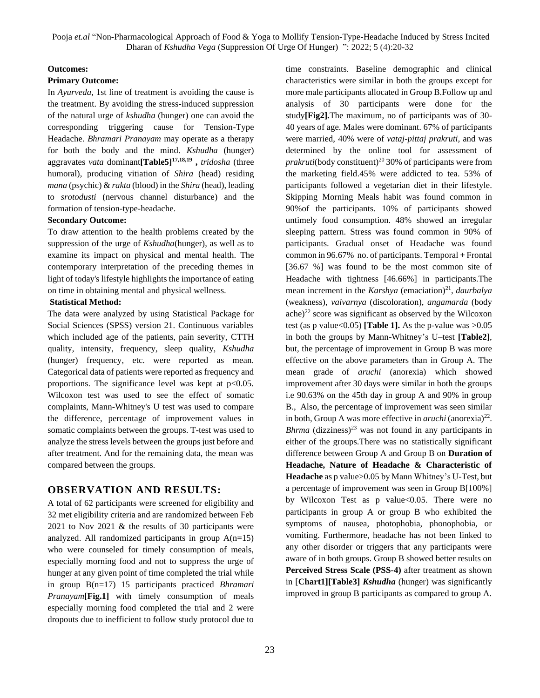#### **Outcomes:**

#### **Primary Outcome:**

In *Ayurveda,* 1st line of treatment is avoiding the cause is the treatment. By avoiding the stress-induced suppression of the natural urge of *kshudha* (hunger) one can avoid the corresponding triggering cause for Tension-Type Headache. *Bhramari Pranayam* may operate as a therapy for both the body and the mind. *Kshudha* (hunger) aggravates *vata* dominant**[Table5]17,18,19 ,** *tridosha* (three humoral), producing vitiation of *Shira* (head) residing *mana* (psychic) & *rakta* (blood) in the *Shira* (head), leading to *srotodusti* (nervous channel disturbance) and the formation of tension-type-headache.

#### **Secondary Outcome:**

To draw attention to the health problems created by the suppression of the urge of *Kshudha*(hunger), as well as to examine its impact on physical and mental health. The contemporary interpretation of the preceding themes in light of today's lifestyle highlights the importance of eating on time in obtaining mental and physical wellness.

#### **Statistical Method:**

The data were analyzed by using Statistical Package for Social Sciences (SPSS) version 21. Continuous variables which included age of the patients, pain severity, CTTH quality, intensity, frequency, sleep quality, *Kshudha* (hunger) frequency, etc. were reported as mean. Categorical data of patients were reported as frequency and proportions. The significance level was kept at  $p<0.05$ . Wilcoxon test was used to see the effect of somatic complaints, Mann-Whitney's U test was used to compare the difference, percentage of improvement values in somatic complaints between the groups. T-test was used to analyze the stress levels between the groups just before and after treatment. And for the remaining data, the mean was compared between the groups.

#### **OBSERVATION AND RESULTS:**

A total of 62 participants were screened for eligibility and 32 met eligibility criteria and are randomized between Feb 2021 to Nov 2021 & the results of 30 participants were analyzed. All randomized participants in group  $A(n=15)$ who were counseled for timely consumption of meals, especially morning food and not to suppress the urge of hunger at any given point of time completed the trial while in group B(n=17) 15 participants practiced *Bhramari Pranayam***[Fig.1]** with timely consumption of meals especially morning food completed the trial and 2 were dropouts due to inefficient to follow study protocol due to

time constraints. Baseline demographic and clinical characteristics were similar in both the groups except for more male participants allocated in Group B.Follow up and analysis of 30 participants were done for the study**[Fig2].**The maximum, no of participants was of 30- 40 years of age. Males were dominant. 67% of participants were married, 40% were of *vataj-pittaj prakruti,* and was determined by the online tool for assessment of *prakruti*(body constituent)<sup>20</sup> 30% of participants were from the marketing field.45% were addicted to tea. 53% of participants followed a vegetarian diet in their lifestyle. Skipping Morning Meals habit was found common in 90%of the participants. 10% of participants showed untimely food consumption. 48% showed an irregular sleeping pattern. Stress was found common in 90% of participants. Gradual onset of Headache was found common in 96.67% no. of participants. Temporal + Frontal [36.67 %] was found to be the most common site of Headache with tightness [46.66%] in participants.The mean increment in the *Karshya* (emaciation)<sup>21</sup>, *daurbalya* (weakness), *vaivarnya* (discoloration), *angamarda* (body ache) $^{22}$  score was significant as observed by the Wilcoxon test (as p value  $< 0.05$ ) **[Table 1].** As the p-value was  $> 0.05$ in both the groups by Mann-Whitney's U–test **[Table2]**, but, the percentage of improvement in Group B was more effective on the above parameters than in Group A. The mean grade of *aruchi* (anorexia) which showed improvement after 30 days were similar in both the groups i.e 90.63% on the 45th day in group A and 90% in group B., Also, the percentage of improvement was seen similar in both, Group A was more effective in *aruchi* (anorexia)<sup>22</sup>. *Bhrma* (dizziness)<sup>23</sup> was not found in any participants in either of the groups.There was no statistically significant difference between Group A and Group B on **Duration of Headache, Nature of Headache & Characteristic of Headache** as p value>0.05 by Mann Whitney's U-Test, but a percentage of improvement was seen in Group B[100%] by Wilcoxon Test as p value<0.05. There were no participants in group A or group B who exhibited the symptoms of nausea, photophobia, phonophobia, or vomiting. Furthermore, headache has not been linked to any other disorder or triggers that any participants were aware of in both groups. Group B showed better results on **Perceived Stress Scale (PSS**-**4)** after treatment as shown in [**Chart1][Table3]** *Kshudha* (hunger) was significantly improved in group B participants as compared to group A.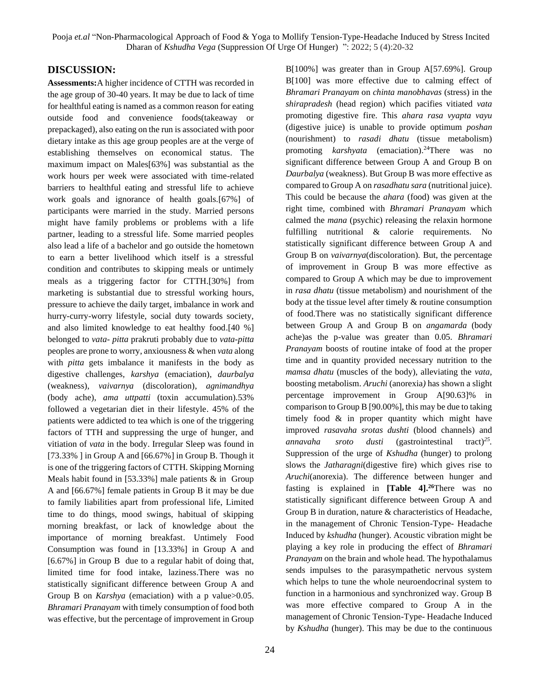### **DISCUSSION:**

**Assessments:**A higher incidence of CTTH was recorded in the age group of 30-40 years. It may be due to lack of time for healthful eating is named as a common reason for eating outside food and convenience foods(takeaway or prepackaged), also eating on the run is associated with poor dietary intake as this age group peoples are at the verge of establishing themselves on economical status. The maximum impact on Males[63%] was substantial as the work hours per week were associated with time-related barriers to healthful eating and stressful life to achieve work goals and ignorance of health goals.[67%] of participants were married in the study. Married persons might have family problems or problems with a life partner, leading to a stressful life. Some married peoples also lead a life of a bachelor and go outside the hometown to earn a better livelihood which itself is a stressful condition and contributes to skipping meals or untimely meals as a triggering factor for CTTH.[30%] from marketing is substantial due to stressful working hours, pressure to achieve the daily target, imbalance in work and hurry-curry-worry lifestyle, social duty towards society, and also limited knowledge to eat healthy food.[40 %] belonged to *vata*- *pitta* prakruti probably due to *vata*-*pitta* peoples are prone to worry, anxiousness & when *vata* along with *pitta* gets imbalance it manifests in the body as digestive challenges*, karshya* (emaciation), *daurbalya* (weakness), *vaivarnya* (discoloration), *agnimandhya* (body ache), *ama uttpatti* (toxin accumulation).53% followed a vegetarian diet in their lifestyle. 45% of the patients were addicted to tea which is one of the triggering factors of TTH and suppressing the urge of hunger, and vitiation of *vata* in the body. Irregular Sleep was found in [ $73.33\%$ ] in Group A and [ $66.67\%$ ] in Group B. Though it is one of the triggering factors of CTTH. Skipping Morning Meals habit found in [53.33%] male patients  $\&$  in Group A and [66.67%] female patients in Group B it may be due to family liabilities apart from professional life, Limited time to do things, mood swings, habitual of skipping morning breakfast, or lack of knowledge about the importance of morning breakfast. Untimely Food Consumption was found in [13.33%] in Group A and [6.67%] in Group B due to a regular habit of doing that, limited time for food intake, laziness.There was no statistically significant difference between Group A and Group B on *Karshya* (emaciation) with a p value>0.05. *Bhramari Pranayam* with timely consumption of food both was effective, but the percentage of improvement in Group

24

B[100%] was greater than in Group A[57.69%]*.* Group B[100] was more effective due to calming effect of *Bhramari Pranayam* on *chinta manobhavas* (stress) in the *shirapradesh* (head region) which pacifies vitiated *vata* promoting digestive fire. This *ahara rasa vyapta vayu* (digestive juice) is unable to provide optimum *poshan* (nourishment) to *rasadi dhatu* (tissue metabolism) promoting *karshyata* (emaciation).<sup>24</sup>There was no significant difference between Group A and Group B on *Daurbalya* (weakness). But Group B was more effective as compared to Group A on *rasadhatu sara* (nutritional juice). This could be because the *ahara* (food) was given at the right time, combined with *Bhramari Pranayam* which calmed the *mana* (psychic) releasing the relaxin hormone fulfilling nutritional & calorie requirements. No statistically significant difference between Group A and Group B on *vaivarnya*(discoloration)*.* But, the percentage of improvement in Group B was more effective as compared to Group A which may be due to improvement in *rasa dhatu* (tissue metabolism) and nourishment of the body at the tissue level after timely & routine consumption of food.There was no statistically significant difference between Group A and Group B on *angamarda* (body ache)as the p-value was greater than 0.05. *Bhramari Pranayam* boosts of routine intake of food at the proper time and in quantity provided necessary nutrition to the *mamsa dhatu* (muscles of the body), alleviating the *vata*, boosting metabolism. *Aruchi* (anorexia*)* has shown a slight percentage improvement in Group A[90.63]% in comparison to Group B [90.00%], this may be due to taking timely food & in proper quantity which might have improved *rasavaha srotas dushti* (blood channels) and *annavaha sroto dusti* (gastrointestinal  $\text{tract}$ <sup>25</sup>. Suppression of the urge of *Kshudha* (hunger) to prolong slows the *Jatharagni*(digestive fire) which gives rise to *Aruchi*(anorexia). The difference between hunger and fasting is explained in **[Table 4].<sup>26</sup>**There was no statistically significant difference between Group A and Group B in duration, nature & characteristics of Headache, in the management of Chronic Tension-Type- Headache Induced by *kshudha* (hunger). Acoustic vibration might be playing a key role in producing the effect of *Bhramari Pranayam* on the brain and whole head. The hypothalamus sends impulses to the parasympathetic nervous system which helps to tune the whole neuroendocrinal system to function in a harmonious and synchronized way. Group B was more effective compared to Group A in the management of Chronic Tension-Type- Headache Induced by *Kshudha* (hunger). This may be due to the continuous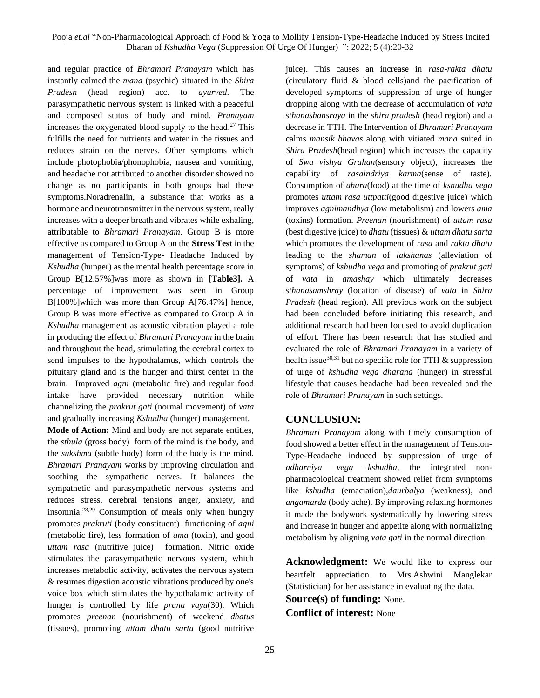and regular practice of *Bhramari Pranayam* which has instantly calmed the *mana* (psychic) situated in the *Shira Pradesh* (head region) acc. to *ayurved*. The parasympathetic nervous system is linked with a peaceful and composed status of body and mind. *Pranayam*  increases the oxygenated blood supply to the head. <sup>27</sup> This fulfills the need for nutrients and water in the tissues and reduces strain on the nerves. Other symptoms which include photophobia/phonophobia, nausea and vomiting, and headache not attributed to another disorder showed no change as no participants in both groups had these symptoms.Noradrenalin, a substance that works as a hormone and neurotransmitter in the nervous system, really increases with a deeper breath and vibrates while exhaling, attributable to *Bhramari Pranayam*. Group B is more effective as compared to Group A on the **Stress Test** in the management of Tension-Type- Headache Induced by *Kshudha* (hunger) as the mental health percentage score in Group B[12.57%]was more as shown in **[Table3].** A percentage of improvement was seen in Group B[100%]which was more than Group A[76.47%] hence, Group B was more effective as compared to Group A in *Kshudha* management as acoustic vibration played a role in producing the effect of *Bhramari Pranayam* in the brain and throughout the head, stimulating the cerebral cortex to send impulses to the hypothalamus, which controls the pituitary gland and is the hunger and thirst center in the brain. Improved *agni* (metabolic fire) and regular food intake have provided necessary nutrition while channelizing the *prakrut gati* (normal movement) of *vata* and gradually increasing *Kshudha* (hunger) management.

**Mode of Action:** Mind and body are not separate entities, the *sthula* (gross body) form of the mind is the body, and the *sukshma* (subtle body) form of the body is the mind. *Bhramari Pranayam* works by improving circulation and soothing the sympathetic nerves. It balances the sympathetic and parasympathetic nervous systems and reduces stress, cerebral tensions anger, anxiety, and insomnia. 28,29 Consumption of meals only when hungry promotes *prakruti* (body constituent) functioning of *agni* (metabolic fire), less formation of *ama* (toxin), and good *uttam rasa* (nutritive juice) formation. Nitric oxide stimulates the parasympathetic nervous system, which increases metabolic activity, activates the nervous system & resumes digestion acoustic vibrations produced by one's voice box which stimulates the hypothalamic activity of hunger is controlled by life *prana vayu*(30)*.* Which promotes *preenan* (nourishment) of weekend *dhatus* (tissues), promoting *uttam dhatu sarta* (good nutritive

juice). This causes an increase in *rasa-rakta dhatu* (circulatory fluid & blood cells)and the pacification of developed symptoms of suppression of urge of hunger dropping along with the decrease of accumulation of *vata sthanashansraya* in the *shira pradesh* (head region) and a decrease in TTH. The Intervention of *Bhramari Pranayam* calms *mansik bhavas* along with vitiated *mana* suited in *Shira Pradesh*(head region) which increases the capacity of *Swa vishya Grahan*(sensory object), increases the capability of *rasaindriya karma*(sense of taste)*.*  Consumption of *ahara*(food) at the time of *kshudha vega*  promotes *uttam rasa uttpatti*(good digestive juice) which improves *agnimandhya* (low metabolism) and lowers *ama* (toxins) formation. *Preenan* (nourishment) of *uttam rasa* (best digestive juice) to *dhatu* (tissues) & *uttam dhatu sarta* which promotes the development of *rasa* and *rakta dhatu* leading to the *shaman* of *lakshanas* (alleviation of symptoms) of *kshudha vega* and promoting of *prakrut gati* of *vata* in *amashay* which ultimately decreases *sthanasamshray* (location of disease) of *vata* in *Shira Pradesh* (head region). All previous work on the subject had been concluded before initiating this research, and additional research had been focused to avoid duplication of effort. There has been research that has studied and evaluated the role of *Bhramari Pranayam* in a variety of health issue<sup>30,31</sup> but no specific role for TTH  $\&$  suppression of urge of *kshudha vega dharana* (hunger) in stressful lifestyle that causes headache had been revealed and the role of *Bhramari Pranayam* in such settings.

#### **CONCLUSION:**

*Bhramari Pranayam* along with timely consumption of food showed a better effect in the management of Tension-Type-Headache induced by suppression of urge of *adharniya –vega –kshudha*, the integrated nonpharmacological treatment showed relief from symptoms like *kshudha* (emaciation),*daurbalya* (weakness), and *angamarda* (body ache)*.* By improving relaxing hormones it made the bodywork systematically by lowering stress and increase in hunger and appetite along with normalizing metabolism by aligning *vata gati* in the normal direction.

**Acknowledgment:** We would like to express our heartfelt appreciation to Mrs.Ashwini Manglekar (Statistician) for her assistance in evaluating the data. **Source(s) of funding:** None. **Conflict of interest:** None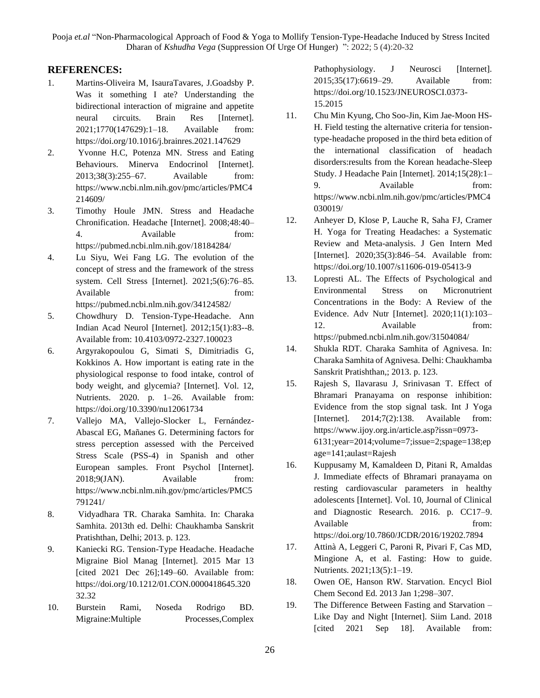### **REFERENCES:**

- 1. Martins-Oliveira M, IsauraTavares, J.Goadsby P. Was it something I ate? Understanding the bidirectional interaction of migraine and appetite neural circuits. Brain Res [Internet]. 2021;1770(147629):1–18. Available from: https://doi.org/10.1016/j.brainres.2021.147629
- 2. Yvonne H.C, Potenza MN. Stress and Eating Behaviours. Minerva Endocrinol [Internet]. 2013;38(3):255–67. Available from: https://www.ncbi.nlm.nih.gov/pmc/articles/PMC4 214609/
- 3. Timothy Houle JMN. Stress and Headache Chronification. Headache [Internet]. 2008;48:40– 4. Available from: https://pubmed.ncbi.nlm.nih.gov/18184284/
- 4. Lu Siyu, Wei Fang LG. The evolution of the concept of stress and the framework of the stress system. Cell Stress [Internet]. 2021;5(6):76–85. Available from: https://pubmed.ncbi.nlm.nih.gov/34124582/
- 5. Chowdhury D. Tension-Type-Headache. Ann Indian Acad Neurol [Internet]. 2012;15(1):83--8. Available from: 10.4103/0972-2327.100023
- 6. Argyrakopoulou G, Simati S, Dimitriadis G, Kokkinos A. How important is eating rate in the physiological response to food intake, control of body weight, and glycemia? [Internet]. Vol. 12, Nutrients. 2020. p. 1–26. Available from: https://doi.org/10.3390/nu12061734
- 7. Vallejo MA, Vallejo-Slocker L, Fernández-Abascal EG, Mañanes G. Determining factors for stress perception assessed with the Perceived Stress Scale (PSS-4) in Spanish and other European samples. Front Psychol [Internet]. 2018;9(JAN). Available from: https://www.ncbi.nlm.nih.gov/pmc/articles/PMC5 791241/
- 8. Vidyadhara TR. Charaka Samhita. In: Charaka Samhita. 2013th ed. Delhi: Chaukhamba Sanskrit Pratishthan, Delhi; 2013. p. 123.
- 9. Kaniecki RG. Tension-Type Headache. Headache Migraine Biol Manag [Internet]. 2015 Mar 13 [cited 2021 Dec 26];149–60. Available from: https://doi.org/10.1212/01.CON.0000418645.320 32.32
- 10. Burstein Rami, Noseda Rodrigo BD. Migraine: Multiple Processes, Complex

Pathophysiology. J Neurosci [Internet]. 2015;35(17):6619–29. Available from: https://doi.org/10.1523/JNEUROSCI.0373- 15.2015

- 11. Chu Min Kyung, Cho Soo-Jin, Kim Jae-Moon HS-H. Field testing the alternative criteria for tensiontype-headache proposed in the third beta edition of the international classification of headach disorders:results from the Korean headache-Sleep Study. J Headache Pain [Internet]. 2014;15(28):1– 9. Available from: https://www.ncbi.nlm.nih.gov/pmc/articles/PMC4 030019/
- 12. Anheyer D, Klose P, Lauche R, Saha FJ, Cramer H. Yoga for Treating Headaches: a Systematic Review and Meta-analysis. J Gen Intern Med [Internet]. 2020;35(3):846–54. Available from: https://doi.org/10.1007/s11606-019-05413-9
- 13. Lopresti AL. The Effects of Psychological and Environmental Stress on Micronutrient Concentrations in the Body: A Review of the Evidence. Adv Nutr [Internet]. 2020;11(1):103– 12. Available from: https://pubmed.ncbi.nlm.nih.gov/31504084/
- 14. Shukla RDT. Charaka Samhita of Agnivesa. In: Charaka Samhita of Agnivesa. Delhi: Chaukhamba Sanskrit Pratishthan,; 2013. p. 123.
- 15. Rajesh S, Ilavarasu J, Srinivasan T. Effect of Bhramari Pranayama on response inhibition: Evidence from the stop signal task. Int J Yoga [Internet]. 2014;7(2):138. Available from: https://www.ijoy.org.in/article.asp?issn=0973- 6131;year=2014;volume=7;issue=2;spage=138;ep age=141;aulast=Rajesh
- 16. Kuppusamy M, Kamaldeen D, Pitani R, Amaldas J. Immediate effects of Bhramari pranayama on resting cardiovascular parameters in healthy adolescents [Internet]. Vol. 10, Journal of Clinical and Diagnostic Research. 2016. p. CC17–9. Available from: https://doi.org/10.7860/JCDR/2016/19202.7894
- 17. Attinà A, Leggeri C, Paroni R, Pivari F, Cas MD, Mingione A, et al. Fasting: How to guide. Nutrients. 2021;13(5):1–19.
- 18. Owen OE, Hanson RW. Starvation. Encycl Biol Chem Second Ed. 2013 Jan 1;298–307.
- 19. The Difference Between Fasting and Starvation Like Day and Night [Internet]. Siim Land. 2018 [cited 2021 Sep 18]. Available from: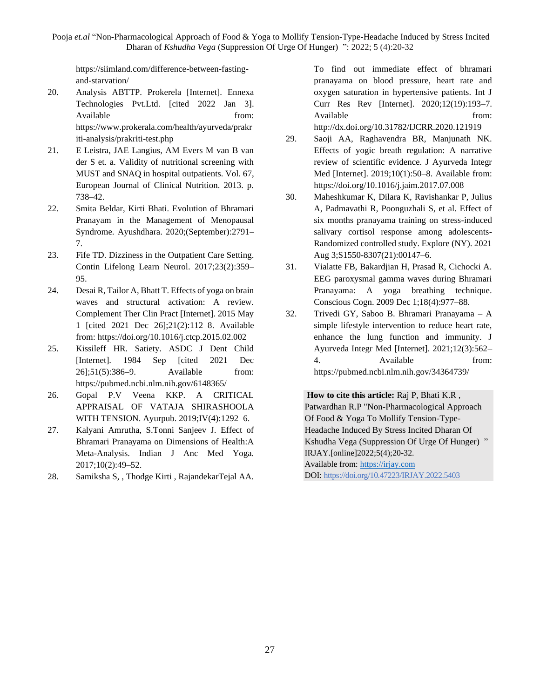https://siimland.com/difference-between-fastingand-starvation/

- 20. Analysis ABTTP. Prokerela [Internet]. Ennexa Technologies Pvt.Ltd. [cited 2022 Jan 3]. Available from: https://www.prokerala.com/health/ayurveda/prakr iti-analysis/prakriti-test.php
- 21. E Leistra, JAE Langius, AM Evers M van B van der S et. a. Validity of nutritional screening with MUST and SNAQ in hospital outpatients. Vol. 67, European Journal of Clinical Nutrition. 2013. p. 738–42.
- 22. Smita Beldar, Kirti Bhati. Evolution of Bhramari Pranayam in the Management of Menopausal Syndrome. Ayushdhara. 2020;(September):2791– 7.
- 23. Fife TD. Dizziness in the Outpatient Care Setting. Contin Lifelong Learn Neurol. 2017;23(2):359– 95.
- 24. Desai R, Tailor A, Bhatt T. Effects of yoga on brain waves and structural activation: A review. Complement Ther Clin Pract [Internet]. 2015 May 1 [cited 2021 Dec 26];21(2):112–8. Available from: https://doi.org/10.1016/j.ctcp.2015.02.002
- 25. Kissileff HR. Satiety. ASDC J Dent Child [Internet]. 1984 Sep [cited 2021 Dec 26];51(5):386–9. Available from: https://pubmed.ncbi.nlm.nih.gov/6148365/
- 26. Gopal P.V Veena KKP. A CRITICAL APPRAISAL OF VATAJA SHIRASHOOLA WITH TENSION. Ayurpub. 2019;IV(4):1292–6.
- 27. Kalyani Amrutha, S.Tonni Sanjeev J. Effect of Bhramari Pranayama on Dimensions of Health:A Meta-Analysis. Indian J Anc Med Yoga. 2017;10(2):49–52.
- 28. Samiksha S, , Thodge Kirti , RajandekarTejal AA.

To find out immediate effect of bhramari pranayama on blood pressure, heart rate and oxygen saturation in hypertensive patients. Int J Curr Res Rev [Internet]. 2020;12(19):193–7. Available from:

http://dx.doi.org/10.31782/IJCRR.2020.121919

- 29. Saoji AA, Raghavendra BR, Manjunath NK. Effects of yogic breath regulation: A narrative review of scientific evidence. J Ayurveda Integr Med [Internet]. 2019;10(1):50–8. Available from: https://doi.org/10.1016/j.jaim.2017.07.008
- 30. Maheshkumar K, Dilara K, Ravishankar P, Julius A, Padmavathi R, Poonguzhali S, et al. Effect of six months pranayama training on stress-induced salivary cortisol response among adolescents-Randomized controlled study. Explore (NY). 2021 Aug 3;S1550-8307(21):00147–6.
- 31. Vialatte FB, Bakardjian H, Prasad R, Cichocki A. EEG paroxysmal gamma waves during Bhramari Pranayama: A yoga breathing technique. Conscious Cogn. 2009 Dec 1;18(4):977–88.
- 32. Trivedi GY, Saboo B. Bhramari Pranayama A simple lifestyle intervention to reduce heart rate, enhance the lung function and immunity. J Ayurveda Integr Med [Internet]. 2021;12(3):562– 4. Available from: https://pubmed.ncbi.nlm.nih.gov/34364739/

**How to cite this article:** Raj P, Bhati K.R ,

Patwardhan R.P "Non-Pharmacological Approach Of Food & Yoga To Mollify Tension-Type-Headache Induced By Stress Incited Dharan Of Kshudha Vega (Suppression Of Urge Of Hunger)" IRJAY.[online]2022;5(4);20-32. Available from: [https://irjay.com](https://irjay.com/) DOI: https://doi.org/10.47223/IRJAY.2022.5403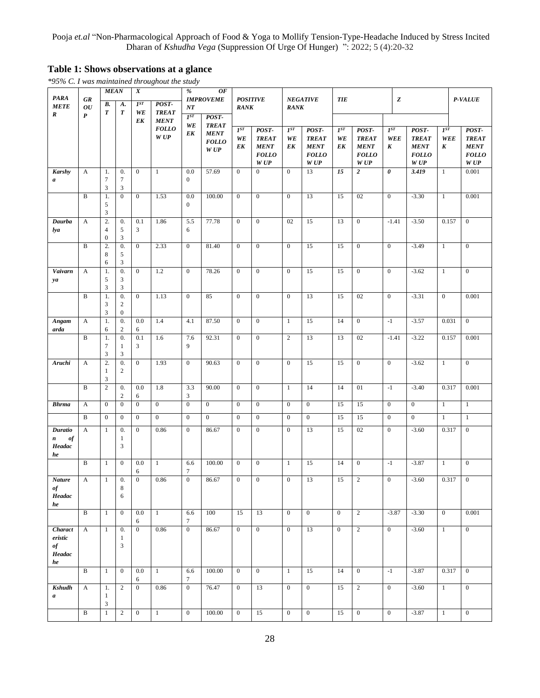# **Table 1: Shows observations at a glance**

*\*95% C. I was maintained throughout the study*

| <b>PARA</b>                                    | <b>GR</b>                           | <b>MEAN</b>                              |                                                    | $\overline{X}$               |                                                              |                              | %<br><b>OF</b><br><b>IMPROVEME</b>                 |                                      | <b>POSITIVE</b>                                              | <b>NEGATIVE</b>              |                                                             |                      | <b>TIE</b>                                                   |                              | $\boldsymbol{z}$                                             |                                     | P-VALUE                                                      |  |
|------------------------------------------------|-------------------------------------|------------------------------------------|----------------------------------------------------|------------------------------|--------------------------------------------------------------|------------------------------|----------------------------------------------------|--------------------------------------|--------------------------------------------------------------|------------------------------|-------------------------------------------------------------|----------------------|--------------------------------------------------------------|------------------------------|--------------------------------------------------------------|-------------------------------------|--------------------------------------------------------------|--|
| <b>METE</b><br>R                               | $\overline{O}U$<br>$\boldsymbol{P}$ | В.<br>$\boldsymbol{T}$                   | A.<br>$\boldsymbol{T}$                             | $I^{ST}$<br>WE<br>E K        | POST-<br><b>TREAT</b><br><b>MENT</b><br><b>FOLLO</b><br>W UP | NT<br>$I^{ST}$<br>POST-      |                                                    | <b>RANK</b>                          |                                                              | <b>RANK</b>                  |                                                             |                      |                                                              |                              |                                                              |                                     |                                                              |  |
|                                                |                                     |                                          |                                                    |                              |                                                              | WE<br>E K                    | <b>TREAT</b><br><b>MENT</b><br><b>FOLLO</b><br>WUP | $I^{ST}$<br>WE<br>EK                 | POST-<br><b>TREAT</b><br><b>MENT</b><br><b>FOLLO</b><br>W UP | $I^{ST}$<br>WE<br>EK         | POST-<br><b>TREAT</b><br><b>MENT</b><br><b>FOLLO</b><br>WUP | $I^{ST}$<br>WE<br>EK | POST-<br><b>TREAT</b><br><b>MENT</b><br><b>FOLLO</b><br>W UP | $I^{ST}$<br>WEE<br>K         | POST-<br><b>TREAT</b><br><b>MENT</b><br><b>FOLLO</b><br>W UP | $I^{ST}$<br>WEE<br>$\boldsymbol{K}$ | POST-<br><b>TREAT</b><br><b>MENT</b><br><b>FOLLO</b><br>W UP |  |
| <b>Karshy</b><br>$\boldsymbol{a}$              | A                                   | 1.<br>$\tau$<br>3                        | 0.<br>7<br>$\mathfrak{Z}$                          | $\boldsymbol{0}$             | $\mathbf{1}$                                                 | 0.0<br>$\mathbf{0}$          | 57.69                                              | $\boldsymbol{0}$                     | $\boldsymbol{0}$                                             | $\mathbf{0}$                 | 13                                                          | 15                   | $\overline{2}$                                               | 0                            | 3.419                                                        | 1                                   | 0.001                                                        |  |
|                                                | $\, {\bf B}$                        | 1.<br>$\sqrt{5}$<br>3                    | $\boldsymbol{0}$                                   | $\mathbf{0}$                 | 1.53                                                         | 0.0<br>$\mathbf{0}$          | 100.00                                             | $\mathbf{0}$                         | $\mathbf{0}$                                                 | $\mathbf{0}$                 | 13                                                          | 15                   | 02                                                           | $\mathbf{0}$                 | $-3.30$                                                      | $\mathbf{1}$                        | 0.001                                                        |  |
| Daurba<br>lya                                  | A                                   | 2.<br>$\overline{4}$<br>$\boldsymbol{0}$ | 0.<br>5<br>$\mathfrak{Z}$                          | 0.1<br>3                     | 1.86                                                         | 5.5<br>6                     | 77.78                                              | $\mathbf{0}$                         | $\mathbf{0}$                                                 | 02                           | 15                                                          | 13                   | $\mathbf{0}$                                                 | $-1.41$                      | $-3.50$                                                      | 0.157                               | $\overline{0}$                                               |  |
|                                                | $\, {\bf B}$                        | 2.<br>8<br>6                             | 0.<br>5<br>$\mathfrak{Z}$                          | $\mathbf{0}$                 | 2.33                                                         | $\overline{0}$               | 81.40                                              | $\mathbf{0}$                         | $\mathbf{0}$                                                 | $\mathbf{0}$                 | 15                                                          | 15                   | $\mathbf{0}$                                                 | $\mathbf{0}$                 | $-3.49$                                                      | $\mathbf{1}$                        | $\overline{0}$                                               |  |
| Vaivarn<br>ya                                  | $\boldsymbol{A}$                    | 1.<br>5<br>3                             | $\overline{0}$ .<br>3<br>3                         | $\mathbf{0}$                 | 1.2                                                          | $\mathbf{0}$                 | 78.26                                              | $\boldsymbol{0}$                     | $\overline{0}$                                               | $\boldsymbol{0}$             | 15                                                          | 15                   | $\mathbf{0}$                                                 | $\mathbf{0}$                 | $-3.62$                                                      | $\mathbf{1}$                        | $\mathbf{0}$                                                 |  |
|                                                | $\, {\bf B}$                        | 1.<br>$\mathfrak{Z}$<br>3                | $\overline{0}$ .<br>$\sqrt{2}$<br>$\boldsymbol{0}$ | $\mathbf{0}$                 | 1.13                                                         | $\mathbf{0}$                 | 85                                                 | $\boldsymbol{0}$                     | $\mathbf{0}$                                                 | $\boldsymbol{0}$             | 13                                                          | 15                   | 02                                                           | $\mathbf{0}$                 | $-3.31$                                                      | $\mathbf{0}$                        | 0.001                                                        |  |
| Angam<br>arda                                  | A                                   | 1.<br>6                                  | 0.<br>$\boldsymbol{2}$                             | 0.0<br>6                     | 1.4                                                          | 4.1                          | 87.50                                              | $\mathbf{0}$                         | $\mathbf{0}$                                                 | $\mathbf{1}$                 | 15                                                          | 14                   | $\mathbf{0}$                                                 | $-1$                         | $-3.57$                                                      | 0.031                               | $\overline{0}$                                               |  |
|                                                | $\, {\bf B}$                        | 1.<br>7<br>3                             | 0.<br>1<br>$\mathfrak{Z}$                          | 0.1<br>3                     | 1.6                                                          | 7.6<br>9                     | 92.31                                              | $\mathbf{0}$                         | $\mathbf{0}$                                                 | $\overline{c}$               | 13                                                          | 13                   | 02                                                           | $-1.41$                      | $-3.22$                                                      | 0.157                               | 0.001                                                        |  |
| Aruchi                                         | A                                   | 2.<br>1<br>3                             | 0.<br>2                                            | $\boldsymbol{0}$             | 1.93                                                         | $\overline{0}$               | 90.63                                              | $\mathbf{0}$                         | $\boldsymbol{0}$                                             | $\mathbf{0}$                 | 15                                                          | 15                   | $\mathbf{0}$                                                 | $\mathbf{0}$                 | $-3.62$                                                      | $\mathbf{1}$                        | $\overline{0}$                                               |  |
|                                                | $\mathbf B$                         | $\sqrt{2}$                               | 0.<br>$\boldsymbol{2}$                             | 0.0<br>6                     | 1.8                                                          | 3.3<br>3                     | 90.00                                              | $\boldsymbol{0}$                     | $\boldsymbol{0}$                                             | $\mathbf{1}$                 | 14                                                          | 14                   | 01                                                           | $-1$                         | $-3.40$                                                      | 0.317                               | 0.001                                                        |  |
| <b>Bhrma</b>                                   | A<br>$\, {\bf B}$                   | $\overline{0}$<br>$\mathbf{0}$           | $\mathbf{0}$<br>$\mathbf{0}$                       | $\mathbf{0}$<br>$\mathbf{0}$ | $\mathbf{0}$<br>$\mathbf{0}$                                 | $\mathbf{0}$<br>$\mathbf{0}$ | $\mathbf{0}$<br>$\overline{0}$                     | $\boldsymbol{0}$<br>$\boldsymbol{0}$ | $\mathbf{0}$<br>$\mathbf{0}$                                 | $\mathbf{0}$<br>$\mathbf{0}$ | $\mathbf{0}$<br>$\overline{0}$                              | 15<br>15             | 15<br>15                                                     | $\mathbf{0}$<br>$\mathbf{0}$ | $\mathbf{0}$<br>$\mathbf{0}$                                 | $\mathbf{1}$<br>$\mathbf{1}$        | $\mathbf{1}$<br>$\mathbf{1}$                                 |  |
| Duratio<br>of<br>$\pmb{n}$<br>Headac           | $\mathbf{A}$                        | 1                                        | 0.<br>$\mathbf{1}$<br>3                            | $\mathbf{0}$                 | 0.86                                                         | $\mathbf{0}$                 | 86.67                                              | $\boldsymbol{0}$                     | $\mathbf{0}$                                                 | $\boldsymbol{0}$             | 13                                                          | 15                   | 02                                                           | $\mathbf{0}$                 | $-3.60$                                                      | 0.317                               | $\mathbf{0}$                                                 |  |
| he                                             | $\, {\bf B}$                        | -1                                       | $\boldsymbol{0}$                                   | 0.0<br>6                     | $\mathbf{1}$                                                 | 6.6<br>$\tau$                | 100.00                                             | $\boldsymbol{0}$                     | $\boldsymbol{0}$                                             | 1                            | 15                                                          | 14                   | $\mathbf{0}$                                                 | $-1$                         | $-3.87$                                                      | 1                                   | $\mathbf{0}$                                                 |  |
| <b>Nature</b><br>$\it of$<br>Headac<br>he      | A                                   | $\mathbf{1}$                             | 0.<br>8<br>6                                       | $\mathbf{0}$                 | 0.86                                                         | $\boldsymbol{0}$             | 86.67                                              | $\boldsymbol{0}$                     | $\boldsymbol{0}$                                             | $\boldsymbol{0}$             | 13                                                          | 15                   | $\sqrt{2}$                                                   | $\boldsymbol{0}$             | $-3.60$                                                      | 0.317                               | $\boldsymbol{0}$                                             |  |
|                                                | $\, {\bf B}$                        | 1                                        | $\mathbf{0}$                                       | 0.0<br>6                     | $\mathbf{1}$                                                 | 6.6<br>$\tau$                | 100                                                | 15                                   | 13                                                           | $\mathbf{0}$                 | $\mathbf{0}$                                                | $\mathbf{0}$         | 2                                                            | $-3.87$                      | $-3.30$                                                      | $\mathbf{0}$                        | 0.001                                                        |  |
| Charact<br>eristic<br>$\it of$<br>Headac<br>he | A                                   | $\mathbf{1}$                             | 0.<br>$\mathbf{1}$<br>$\mathfrak{Z}$               | $\mathbf{0}$                 | 0.86                                                         | $\overline{0}$               | 86.67                                              | $\overline{0}$                       | $\mathbf{0}$                                                 | $\mathbf{0}$                 | 13                                                          | $\overline{0}$       | 2                                                            | $\mathbf{0}$                 | $-3.60$                                                      | $\mathbf{1}$                        | $\overline{0}$                                               |  |
|                                                | $\, {\bf B}$                        | $\mathbf{1}$                             | $\mathbf{0}$                                       | 0.0<br>6                     | $\mathbf{1}$                                                 | 6.6<br>$\tau$                | 100.00                                             | $\mathbf{0}$                         | $\mathbf{0}$                                                 | $\mathbf{1}$                 | 15                                                          | 14                   | $\mathbf{0}$                                                 | $-1$                         | $-3.87$                                                      | 0.317                               | $\mathbf{0}$                                                 |  |
| <b>Kshudh</b><br>$\boldsymbol{a}$              | A                                   | 1.<br>1<br>3                             | 2                                                  | $\mathbf{0}$                 | 0.86                                                         | $\mathbf{0}$                 | 76.47                                              | $\mathbf{0}$                         | 13                                                           | $\mathbf{0}$                 | $\mathbf{0}$                                                | 15                   | $\overline{2}$                                               | $\mathbf{0}$                 | $-3.60$                                                      | $\mathbf{1}$                        | $\mathbf{0}$                                                 |  |
|                                                | $\overline{\mathbf{B}}$             | $\mathbf{1}$                             | $\sqrt{2}$                                         | $\overline{0}$               | $\mathbf{1}$                                                 | $\overline{0}$               | 100.00                                             | $\boldsymbol{0}$                     | 15                                                           | $\boldsymbol{0}$             | $\overline{0}$                                              | 15                   | $\overline{0}$                                               | $\overline{0}$               | $-3.87$                                                      | $\mathbf{1}$                        | $\overline{0}$                                               |  |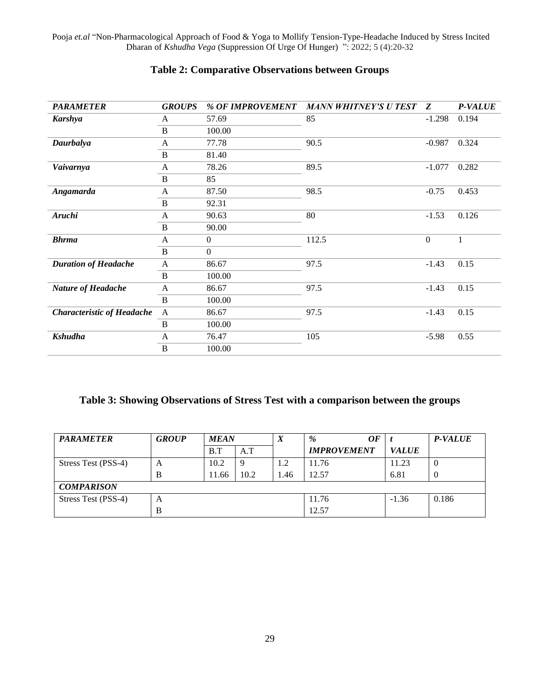| <b>PARAMETER</b>                  | <b>GROUPS</b> | % OF IMPROVEMENT | <b>MANN WHITNEY'S U TEST</b> | Z                | <b>P-VALUE</b> |
|-----------------------------------|---------------|------------------|------------------------------|------------------|----------------|
| <b>Karshya</b>                    | A             | 57.69            | 85                           | $-1.298$         | 0.194          |
|                                   | $\, {\bf B}$  | 100.00           |                              |                  |                |
| Daurbalya                         | A             | 77.78            | 90.5                         | $-0.987$         | 0.324          |
|                                   | B             | 81.40            |                              |                  |                |
| Vaivarnya                         | A             | 78.26            | 89.5                         | $-1.077$         | 0.282          |
|                                   | B             | 85               |                              |                  |                |
| Angamarda                         | A             | 87.50<br>98.5    |                              | $-0.75$          | 0.453          |
|                                   | B             | 92.31            |                              |                  |                |
| Aruchi                            | A             | 90.63            | 80                           | $-1.53$          | 0.126          |
|                                   | $\, {\bf B}$  | 90.00            |                              |                  |                |
| <b>Bhrma</b>                      | A             | $\boldsymbol{0}$ | 112.5                        | $\boldsymbol{0}$ | $\mathbf{1}$   |
|                                   | B             | $\boldsymbol{0}$ |                              |                  |                |
| <b>Duration of Headache</b>       | A             | 86.67            | 97.5                         | $-1.43$          | 0.15           |
|                                   | $\, {\bf B}$  | 100.00           |                              |                  |                |
| <b>Nature of Headache</b>         | A             | 86.67            | 97.5                         | $-1.43$          | 0.15           |
|                                   | B             | 100.00           |                              |                  |                |
| <b>Characteristic of Headache</b> | $\mathbf{A}$  | 86.67            | 97.5                         | $-1.43$          | 0.15           |
|                                   | $\, {\bf B}$  | 100.00           |                              |                  |                |
| <b>Kshudha</b>                    | A             | 76.47            | 105                          | $-5.98$          | 0.55           |
|                                   | B             | 100.00           |                              |                  |                |

# **Table 2: Comparative Observations between Groups**

# **Table 3: Showing Observations of Stress Test with a comparison between the groups**

| <b>PARAMETER</b>    | <b>GROUP</b> | <b>MEAN</b> |      | $\boldsymbol{\Lambda}$ | 0F<br>$\frac{9}{6}$ |              | <b>P-VALUE</b>   |
|---------------------|--------------|-------------|------|------------------------|---------------------|--------------|------------------|
|                     |              | B.T         | A.T  |                        | <b>IMPROVEMENT</b>  | <b>VALUE</b> |                  |
| Stress Test (PSS-4) | A            | 10.2        | 9    | 1.2                    | 11.76               | 11.23        | $\boldsymbol{0}$ |
|                     | B            | 11.66       | 10.2 | l.46                   | 12.57               | 6.81         | $\overline{0}$   |
| <b>COMPARISON</b>   |              |             |      |                        |                     |              |                  |
| Stress Test (PSS-4) | A            |             |      |                        | 11.76               | $-1.36$      | 0.186            |
|                     | B            |             |      |                        | 12.57               |              |                  |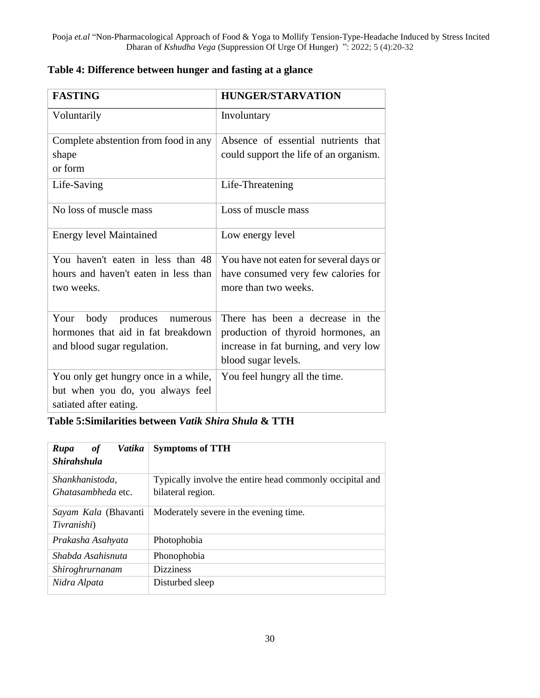| <b>FASTING</b>                       | <b>HUNGER/STARVATION</b>               |  |  |  |  |
|--------------------------------------|----------------------------------------|--|--|--|--|
| Voluntarily                          | Involuntary                            |  |  |  |  |
| Complete abstention from food in any | Absence of essential nutrients that    |  |  |  |  |
| shape                                | could support the life of an organism. |  |  |  |  |
| or form                              |                                        |  |  |  |  |
| Life-Saving                          | Life-Threatening                       |  |  |  |  |
| No loss of muscle mass               | Loss of muscle mass                    |  |  |  |  |
| <b>Energy level Maintained</b>       | Low energy level                       |  |  |  |  |
| You haven't eaten in less than 48    | You have not eaten for several days or |  |  |  |  |
| hours and haven't eaten in less than | have consumed very few calories for    |  |  |  |  |
| two weeks.                           | more than two weeks.                   |  |  |  |  |
|                                      |                                        |  |  |  |  |
| body produces<br>Your<br>numerous    | There has been a decrease in the       |  |  |  |  |
| hormones that aid in fat breakdown   | production of thyroid hormones, an     |  |  |  |  |
| and blood sugar regulation.          | increase in fat burning, and very low  |  |  |  |  |
|                                      | blood sugar levels.                    |  |  |  |  |
| You only get hungry once in a while, | You feel hungry all the time.          |  |  |  |  |
| but when you do, you always feel     |                                        |  |  |  |  |
| satiated after eating.               |                                        |  |  |  |  |

# **Table 4: Difference between hunger and fasting at a glance**

**Table 5:Similarities between** *Vatik Shira Shula* **& TTH**

| Vatika<br>Rupa<br><i>of</i> | <b>Symptoms of TTH</b>                                   |  |  |  |  |  |
|-----------------------------|----------------------------------------------------------|--|--|--|--|--|
| <b>Shirahshula</b>          |                                                          |  |  |  |  |  |
| Shankhanistoda,             | Typically involve the entire head commonly occipital and |  |  |  |  |  |
| <i>Ghatasambheda</i> etc.   | bilateral region.                                        |  |  |  |  |  |
| <i>Sayam Kala</i> (Bhavanti | Moderately severe in the evening time.                   |  |  |  |  |  |
| Tivranishi)                 |                                                          |  |  |  |  |  |
| Prakasha Asahyata           | Photophobia                                              |  |  |  |  |  |
| Shabda Asahisnuta           | Phonophobia                                              |  |  |  |  |  |
| Shiroghrurnanam             | <b>Dizziness</b>                                         |  |  |  |  |  |
| Nidra Alpata                | Disturbed sleep                                          |  |  |  |  |  |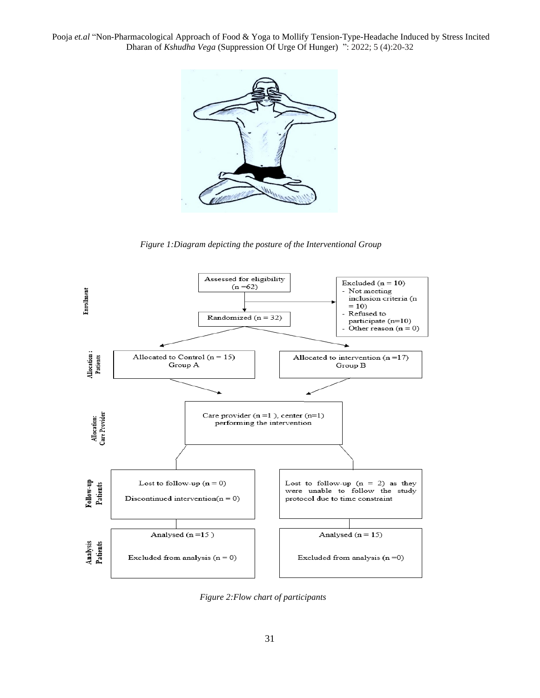

 *Figure 1:Diagram depicting the posture of the Interventional Group*



 *Figure 2:Flow chart of participants*